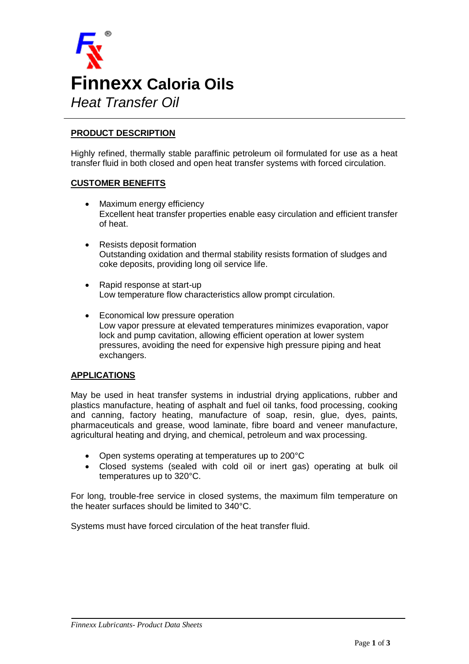

# **PRODUCT DESCRIPTION**

Highly refined, thermally stable paraffinic petroleum oil formulated for use as a heat transfer fluid in both closed and open heat transfer systems with forced circulation.

## **CUSTOMER BENEFITS**

- Maximum energy efficiency Excellent heat transfer properties enable easy circulation and efficient transfer of heat.
- Resists deposit formation Outstanding oxidation and thermal stability resists formation of sludges and coke deposits, providing long oil service life.
- Rapid response at start-up Low temperature flow characteristics allow prompt circulation.
- Economical low pressure operation Low vapor pressure at elevated temperatures minimizes evaporation, vapor lock and pump cavitation, allowing efficient operation at lower system pressures, avoiding the need for expensive high pressure piping and heat exchangers.

## **APPLICATIONS**

May be used in heat transfer systems in industrial drying applications, rubber and plastics manufacture, heating of asphalt and fuel oil tanks, food processing, cooking and canning, factory heating, manufacture of soap, resin, glue, dyes, paints, pharmaceuticals and grease, wood laminate, fibre board and veneer manufacture, agricultural heating and drying, and chemical, petroleum and wax processing.

- Open systems operating at temperatures up to 200°C
- Closed systems (sealed with cold oil or inert gas) operating at bulk oil temperatures up to 320°C.

For long, trouble-free service in closed systems, the maximum film temperature on the heater surfaces should be limited to 340°C.

Systems must have forced circulation of the heat transfer fluid.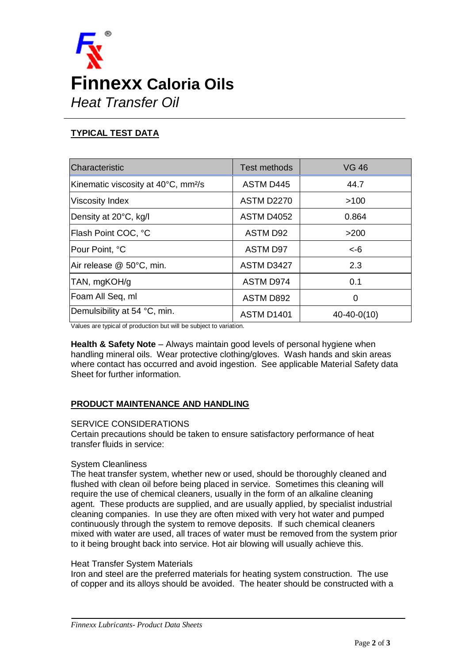

# **TYPICAL TEST DATA**

| Characteristic                                  | <b>Test methods</b> | <b>VG 46</b>      |
|-------------------------------------------------|---------------------|-------------------|
| Kinematic viscosity at 40°C, mm <sup>2</sup> /s | <b>ASTM D445</b>    | 44.7              |
| Viscosity Index                                 | <b>ASTM D2270</b>   | >100              |
| Density at 20°C, kg/l                           | <b>ASTM D4052</b>   | 0.864             |
| Flash Point COC, °C                             | ASTM D92            | >200              |
| Pour Point, °C                                  | <b>ASTM D97</b>     | $<-6$             |
| Air release @ 50°C, min.                        | ASTM D3427          | 2.3               |
| TAN, mgKOH/g                                    | <b>ASTM D974</b>    | 0.1               |
| Foam All Seq, ml                                | <b>ASTM D892</b>    | 0                 |
| Demulsibility at 54 °C, min.                    | <b>ASTM D1401</b>   | $40 - 40 - 0(10)$ |

Values are typical of production but will be subject to variation.

**Health & Safety Note** – Always maintain good levels of personal hygiene when handling mineral oils. Wear protective clothing/gloves. Wash hands and skin areas where contact has occurred and avoid ingestion. See applicable Material Safety data Sheet for further information.

## **PRODUCT MAINTENANCE AND HANDLING**

#### SERVICE CONSIDERATIONS

Certain precautions should be taken to ensure satisfactory performance of heat transfer fluids in service:

#### System Cleanliness

The heat transfer system, whether new or used, should be thoroughly cleaned and flushed with clean oil before being placed in service. Sometimes this cleaning will require the use of chemical cleaners, usually in the form of an alkaline cleaning agent. These products are supplied, and are usually applied, by specialist industrial cleaning companies. In use they are often mixed with very hot water and pumped continuously through the system to remove deposits. If such chemical cleaners mixed with water are used, all traces of water must be removed from the system prior to it being brought back into service. Hot air blowing will usually achieve this.

#### Heat Transfer System Materials

Iron and steel are the preferred materials for heating system construction. The use of copper and its alloys should be avoided. The heater should be constructed with a